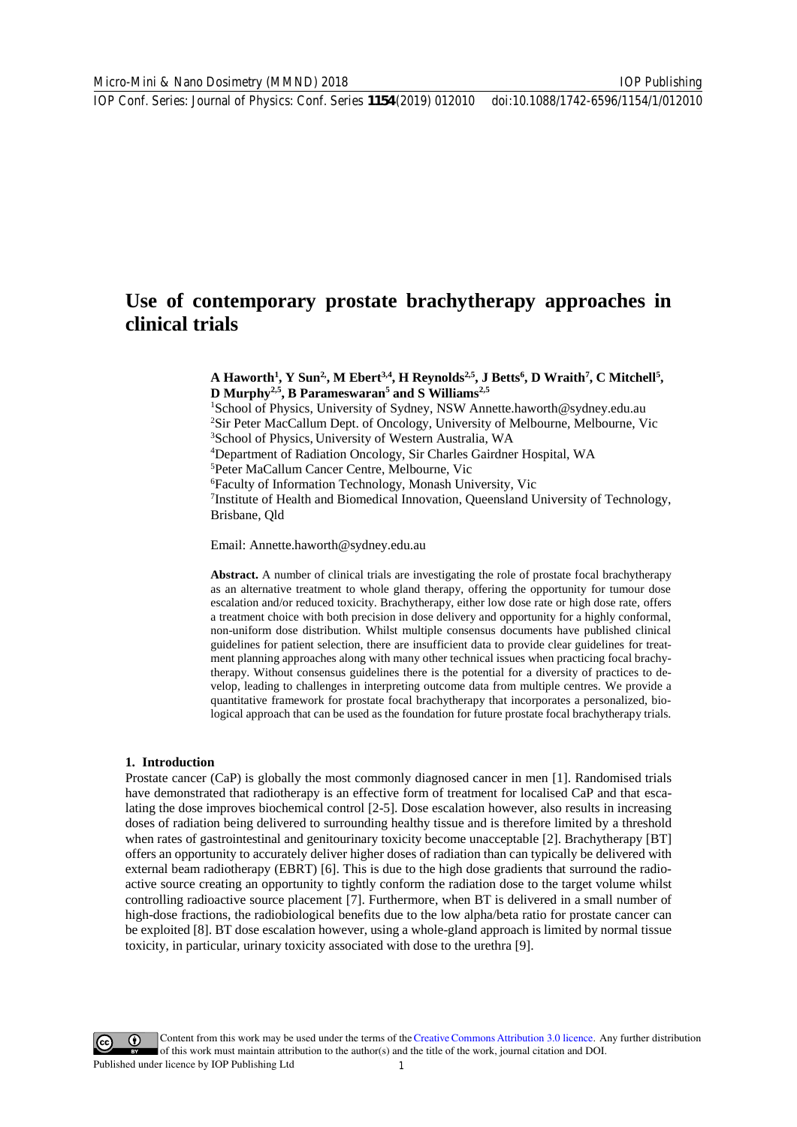# **Use of contemporary prostate brachytherapy approaches in clinical trials**

A Haworth<sup>1</sup>, Y Sun<sup>2</sup>, M Ebert<sup>3,4</sup>, H Reynolds<sup>2,5</sup>, J Betts<sup>6</sup>, D Wraith<sup>7</sup>, C Mitchell<sup>5</sup>, **D Murphy2,5, B Parameswaran5 and S Williams2,5**

1 School of Physics, University of Sydney, NSW Annette.haworth@sydney.edu.au <sup>2</sup>Sir Peter MacCallum Dept. of Oncology, University of Melbourne, Melbourne, Vic 3 School of Physics, University of Western Australia, WA

4 Department of Radiation Oncology, Sir Charles Gairdner Hospital, WA

5 Peter MaCallum Cancer Centre, Melbourne, Vic

6 Faculty of Information Technology, Monash University, Vic

<sup>7</sup>Institute of Health and Biomedical Innovation, Queensland University of Technology, Brisbane, Qld

Email: Annette.haworth@sydney.edu.au

**Abstract.** A number of clinical trials are investigating the role of prostate focal brachytherapy as an alternative treatment to whole gland therapy, offering the opportunity for tumour dose escalation and/or reduced toxicity. Brachytherapy, either low dose rate or high dose rate, offers a treatment choice with both precision in dose delivery and opportunity for a highly conformal, non-uniform dose distribution. Whilst multiple consensus documents have published clinical guidelines for patient selection, there are insufficient data to provide clear guidelines for treatment planning approaches along with many other technical issues when practicing focal brachytherapy. Without consensus guidelines there is the potential for a diversity of practices to develop, leading to challenges in interpreting outcome data from multiple centres. We provide a quantitative framework for prostate focal brachytherapy that incorporates a personalized, biological approach that can be used as the foundation for future prostate focal brachytherapy trials.

#### **1. Introduction**

Prostate cancer (CaP) is globally the most commonly diagnosed cancer in men [1]. Randomised trials have demonstrated that radiotherapy is an effective form of treatment for localised CaP and that escalating the dose improves biochemical control [2-5]. Dose escalation however, also results in increasing doses of radiation being delivered to surrounding healthy tissue and is therefore limited by a threshold when rates of gastrointestinal and genitourinary toxicity become unacceptable [2]. Brachytherapy [BT] offers an opportunity to accurately deliver higher doses of radiation than can typically be delivered with external beam radiotherapy (EBRT) [6]. This is due to the high dose gradients that surround the radioactive source creating an opportunity to tightly conform the radiation dose to the target volume whilst controlling radioactive source placement [7]. Furthermore, when BT is delivered in a small number of high-dose fractions, the radiobiological benefits due to the low alpha/beta ratio for prostate cancer can be exploited [8]. BT dose escalation however, using a whole-gland approach is limited by normal tissue toxicity, in particular, urinary toxicity associated with dose to the urethra [9].

Content from this work may be used under the terms of theCreative Commons Attribution 3.0 licence. Any further distribution of this work must maintain attribution to the author(s) and the title of the work, journal citation and DOI. Published under licence by IOP Publishing Ltd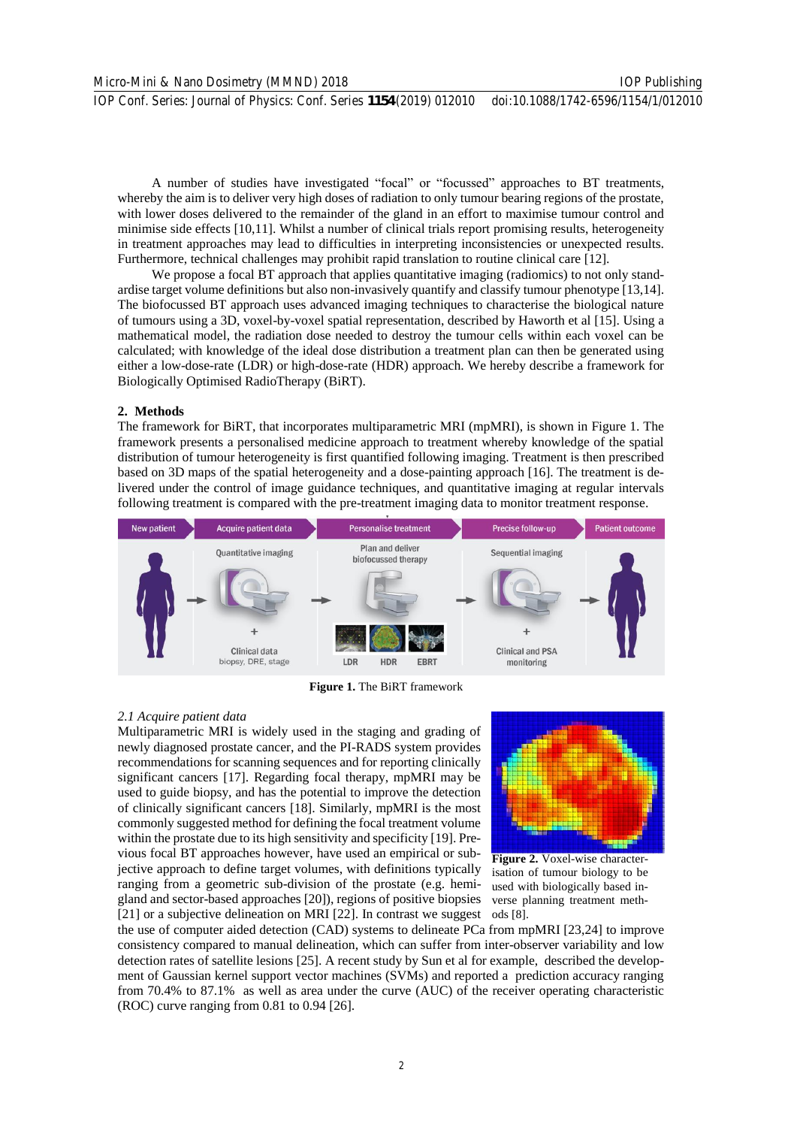A number of studies have investigated "focal" or "focussed" approaches to BT treatments, whereby the aim is to deliver very high doses of radiation to only tumour bearing regions of the prostate, with lower doses delivered to the remainder of the gland in an effort to maximise tumour control and minimise side effects [10,11]. Whilst a number of clinical trials report promising results, heterogeneity in treatment approaches may lead to difficulties in interpreting inconsistencies or unexpected results. Furthermore, technical challenges may prohibit rapid translation to routine clinical care [12].

We propose a focal BT approach that applies quantitative imaging (radiomics) to not only standardise target volume definitions but also non-invasively quantify and classify tumour phenotype [13,14]. The biofocussed BT approach uses advanced imaging techniques to characterise the biological nature of tumours using a 3D, voxel-by-voxel spatial representation, described by Haworth et al [15]. Using a mathematical model, the radiation dose needed to destroy the tumour cells within each voxel can be calculated; with knowledge of the ideal dose distribution a treatment plan can then be generated using either a low-dose-rate (LDR) or high-dose-rate (HDR) approach. We hereby describe a framework for Biologically Optimised RadioTherapy (BiRT).

# **2. Methods**

The framework for BiRT, that incorporates multiparametric MRI (mpMRI), is shown in Figure 1. The framework presents a personalised medicine approach to treatment whereby knowledge of the spatial distribution of tumour heterogeneity is first quantified following imaging. Treatment is then prescribed based on 3D maps of the spatial heterogeneity and a dose-painting approach [16]. The treatment is delivered under the control of image guidance techniques, and quantitative imaging at regular intervals following treatment is compared with the pre-treatment imaging data to monitor treatment response.



**Figure 1.** The BiRT framework

# *2.1 Acquire patient data*

Multiparametric MRI is widely used in the staging and grading of newly diagnosed prostate cancer, and the PI-RADS system provides recommendations for scanning sequences and for reporting clinically significant cancers [17]. Regarding focal therapy, mpMRI may be used to guide biopsy, and has the potential to improve the detection of clinically significant cancers [18]. Similarly, mpMRI is the most commonly suggested method for defining the focal treatment volume within the prostate due to its high sensitivity and specificity [19]. Previous focal BT approaches however, have used an empirical or subjective approach to define target volumes, with definitions typically ranging from a geometric sub-division of the prostate (e.g. hemigland and sector-based approaches [20]), regions of positive biopsies [21] or a subjective delineation on MRI [22]. In contrast we suggest ods [8].



**Figure 2.** Voxel-wise characterisation of tumour biology to be used with biologically based inverse planning treatment meth-

the use of computer aided detection (CAD) systems to delineate PCa from mpMRI [23,24] to improve consistency compared to manual delineation, which can suffer from inter-observer variability and low detection rates of satellite lesions [25]. A recent study by Sun et al for example, described the development of Gaussian kernel support vector machines (SVMs) and reported a prediction accuracy ranging from 70.4% to 87.1% as well as area under the curve (AUC) of the receiver operating characteristic (ROC) curve ranging from 0.81 to 0.94 [26].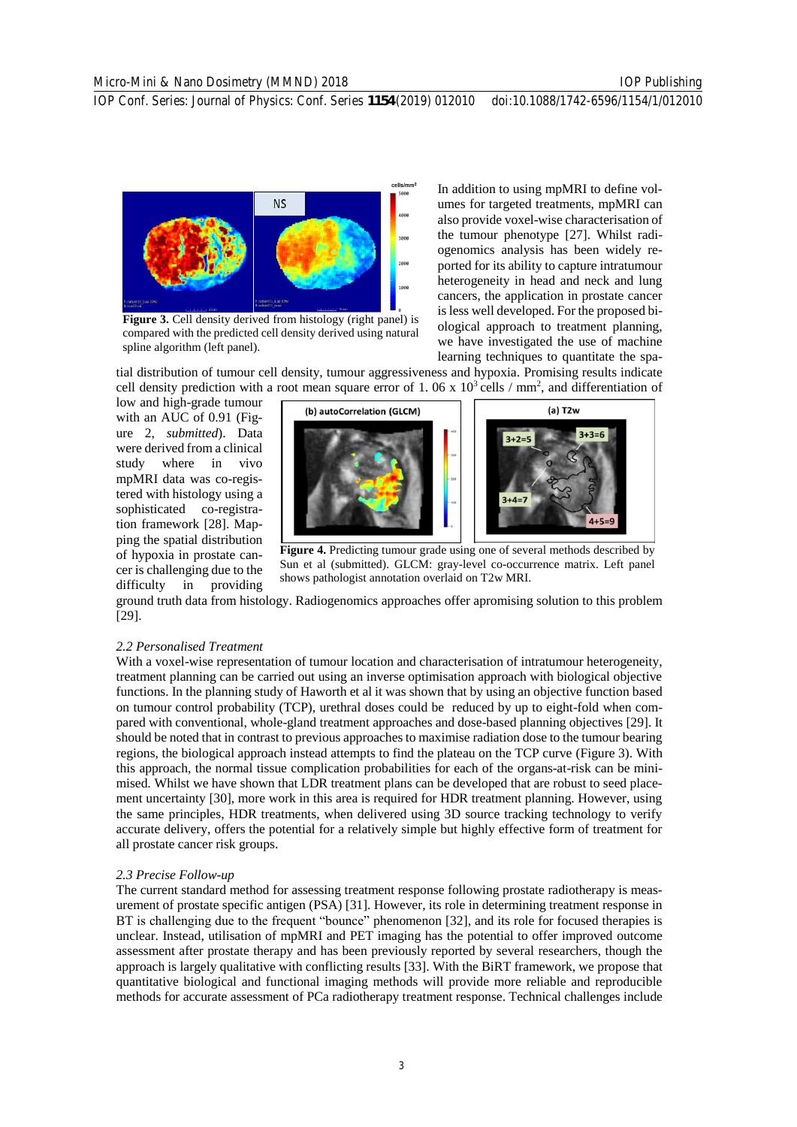cells/mm



**Figure 3.** Cell density derived from histology (right panel) is compared with the predicted cell density derived using natural spline algorithm (left panel).

In addition to using mpMRI to define volumes for targeted treatments, mpMRI can also provide voxel-wise characterisation of the tumour phenotype [27]. Whilst radiogenomics analysis has been widely reported for its ability to capture intratumour heterogeneity in head and neck and lung cancers, the application in prostate cancer is less well developed. For the proposed biological approach to treatment planning, we have investigated the use of machine learning techniques to quantitate the spa-

tial distribution of tumour cell density, tumour aggressiveness and hypoxia. Promising results indicate cell density prediction with a root mean square error of 1.06 x  $10^3$  cells / mm<sup>2</sup>, and differentiation of

low and high-grade tumour with an AUC of 0.91 (Figure 2, *submitted*). Data were derived from a clinical study where in vivo mpMRI data was co-registered with histology using a sophisticated co-registration framework [28]. Mapping the spatial distribution of hypoxia in prostate cancer is challenging due to the difficulty in providing



**Figure 4.** Predicting tumour grade using one of several methods described by Sun et al (submitted). GLCM: gray-level co-occurrence matrix. Left panel shows pathologist annotation overlaid on T2w MRI.

ground truth data from histology. Radiogenomics approaches offer apromising solution to this problem [29].

## *2.2 Personalised Treatment*

With a voxel-wise representation of tumour location and characterisation of intratumour heterogeneity, treatment planning can be carried out using an inverse optimisation approach with biological objective functions. In the planning study of Haworth et al it was shown that by using an objective function based on tumour control probability (TCP), urethral doses could be reduced by up to eight-fold when compared with conventional, whole-gland treatment approaches and dose-based planning objectives [29]. It should be noted that in contrast to previous approaches to maximise radiation dose to the tumour bearing regions, the biological approach instead attempts to find the plateau on the TCP curve (Figure 3). With this approach, the normal tissue complication probabilities for each of the organs-at-risk can be minimised*.* Whilst we have shown that LDR treatment plans can be developed that are robust to seed placement uncertainty [30], more work in this area is required for HDR treatment planning. However, using the same principles, HDR treatments, when delivered using 3D source tracking technology to verify accurate delivery, offers the potential for a relatively simple but highly effective form of treatment for all prostate cancer risk groups.

#### *2.3 Precise Follow-up*

The current standard method for assessing treatment response following prostate radiotherapy is measurement of prostate specific antigen (PSA) [31]. However, its role in determining treatment response in BT is challenging due to the frequent "bounce" phenomenon [32], and its role for focused therapies is unclear. Instead, utilisation of mpMRI and PET imaging has the potential to offer improved outcome assessment after prostate therapy and has been previously reported by several researchers, though the approach is largely qualitative with conflicting results [33]. With the BiRT framework, we propose that quantitative biological and functional imaging methods will provide more reliable and reproducible methods for accurate assessment of PCa radiotherapy treatment response. Technical challenges include